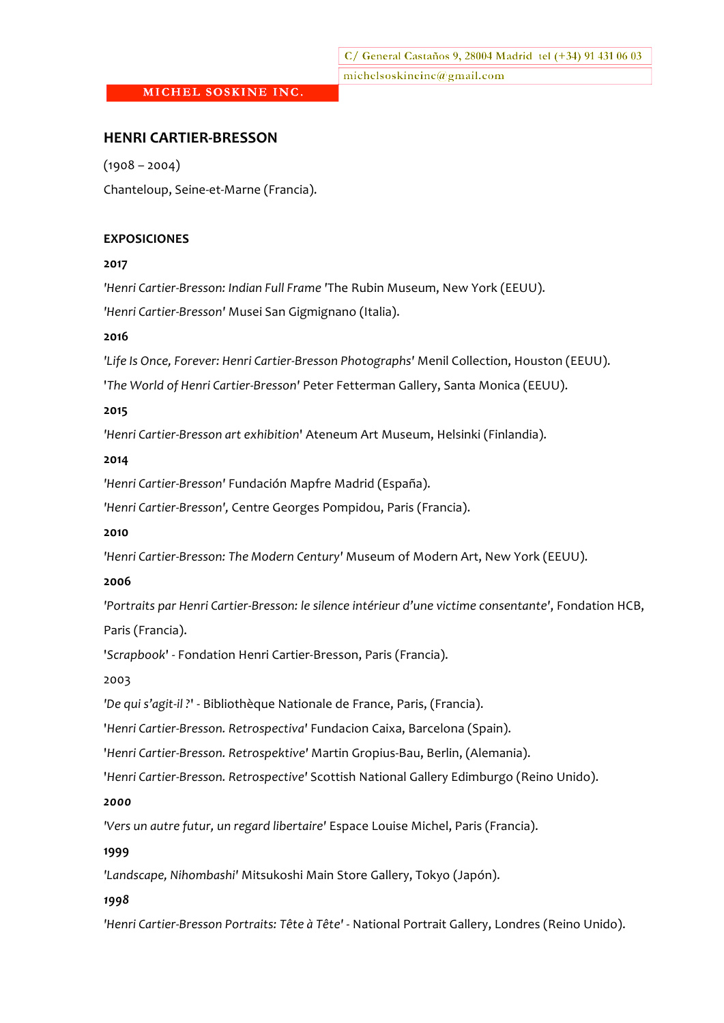## **HENRI CARTIER-BRESSON**

 $(1908 - 2004)$ Chanteloup, Seine-et-Marne (Francia).

### **EXPOSICIONES**

#### **2017**

*'Henri'Cartier+Bresson:'Indian'Full'Frame '*The!Rubin!Museum,!New!York (EEUU).

'Henri Cartier-Bresson' Musei San Gigmignano (Italia).

### **2016&**

'Life Is Once, Forever: Henri Cartier-Bresson Photographs' Menil Collection, Houston (EEUU).

'*The World of Henri Cartier-Bresson'* Peter Fetterman Gallery, Santa Monica (EEUU).

### **2015**

'Henri Cartier-Bresson art exhibition' Ateneum Art Museum, Helsinki (Finlandia).

### **2014**

'Henri Cartier-Bresson' Fundación Mapfre Madrid (España).

'Henri Cartier-Bresson', Centre Georges Pompidou, Paris (Francia).

## **2010**

'Henri Cartier-Bresson: The Modern Century' Museum of Modern Art, New York (EEUU).

#### **2006**

'Portraits par Henri Cartier-Bresson: le silence intérieur d'une victime consentante', Fondation HCB,

# Paris (Francia).

'Scrapbook' - Fondation Henri Cartier-Bresson, Paris (Francia).

#### 2003

'De qui s'agit-il?' - Bibliothèque Nationale de France, Paris, (Francia).

'*Henri Cartier-Bresson. Retrospectiva'* Fundacion Caixa, Barcelona (Spain).

'*Henri Cartier-Bresson. Retrospektive' Martin Gropius-Bau, Berlin, (Alemania).* 

'*Henri Cartier-Bresson. Retrospective'* Scottish National Gallery Edimburgo (Reino Unido).

## *2000*

'Vers un autre futur, un regard libertaire' Espace Louise Michel, Paris (Francia).

## **1999**

'Landscape, Nihombashi' Mitsukoshi Main Store Gallery, Tokyo (Japón).

## *1998*

'Henri Cartier-Bresson Portraits: Tête à Tête' - National Portrait Gallery, Londres (Reino Unido).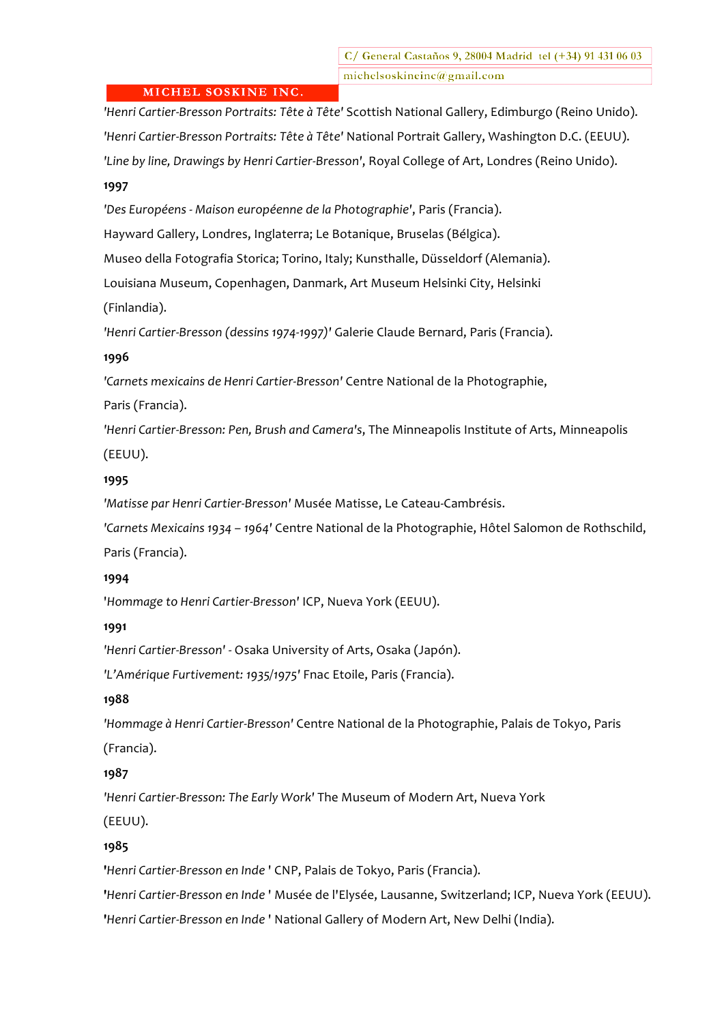'Henri Cartier-Bresson Portraits: Tête à Tête' Scottish National Gallery, Edimburgo (Reino Unido). 'Henri Cartier-Bresson Portraits: Tête à Tête' National Portrait Gallery, Washington D.C. (EEUU). 'Line by line, Drawings by Henri Cartier-Bresson', Royal College of Art, Londres (Reino Unido).

# **1997**

'Des Européens - Maison européenne de la Photographie', Paris (Francia).

Hayward Gallery, Londres, Inglaterra; Le Botanique, Bruselas (Bélgica).

Museo della Fotografia Storica; Torino, Italy; Kunsthalle, Düsseldorf (Alemania).

Louisiana Museum, Copenhagen, Danmark, Art Museum Helsinki City, Helsinki

(Finlandia).

'Henri Cartier-Bresson (dessins 1974-1997)' Galerie Claude Bernard, Paris (Francia).

# **1996&**

'Carnets mexicains de Henri Cartier-Bresson' Centre National de la Photographie,

Paris (Francia).

'Henri Cartier-Bresson: Pen, Brush and Camera's, The Minneapolis Institute of Arts, Minneapolis

(EEUU).

# **1995**

'Matisse par Henri Cartier-Bresson' Musée Matisse, Le Cateau-Cambrésis.

'Carnets Mexicains 1934 - 1964' Centre National de la Photographie, Hôtel Salomon de Rothschild, Paris (Francia).

## **1994&**

'Hommage to Henri Cartier-Bresson' ICP, Nueva York (EEUU).

**1991&**

'Henri Cartier-Bresson' - Osaka University of Arts, Osaka (Japón).

'L'Amérique Furtivement: 1935/1975' Fnac Etoile, Paris (Francia).

# **1988**

'Hommage à Henri Cartier-Bresson' Centre National de la Photographie, Palais de Tokyo, Paris (Francia).

# **1987&**

'Henri Cartier-Bresson: The Early Work' The Museum of Modern Art, Nueva York (EEUU).

# **1985**

'*Henri Cartier-Bresson en Inde* ' CNP, Palais de Tokyo, Paris (Francia).

'*Henri Cartier-Bresson en Inde* ' Musée de l'Elysée, Lausanne, Switzerland; ICP, Nueva York (EEUU).

'*Henri Cartier-Bresson en Inde* ' National Gallery of Modern Art, New Delhi (India).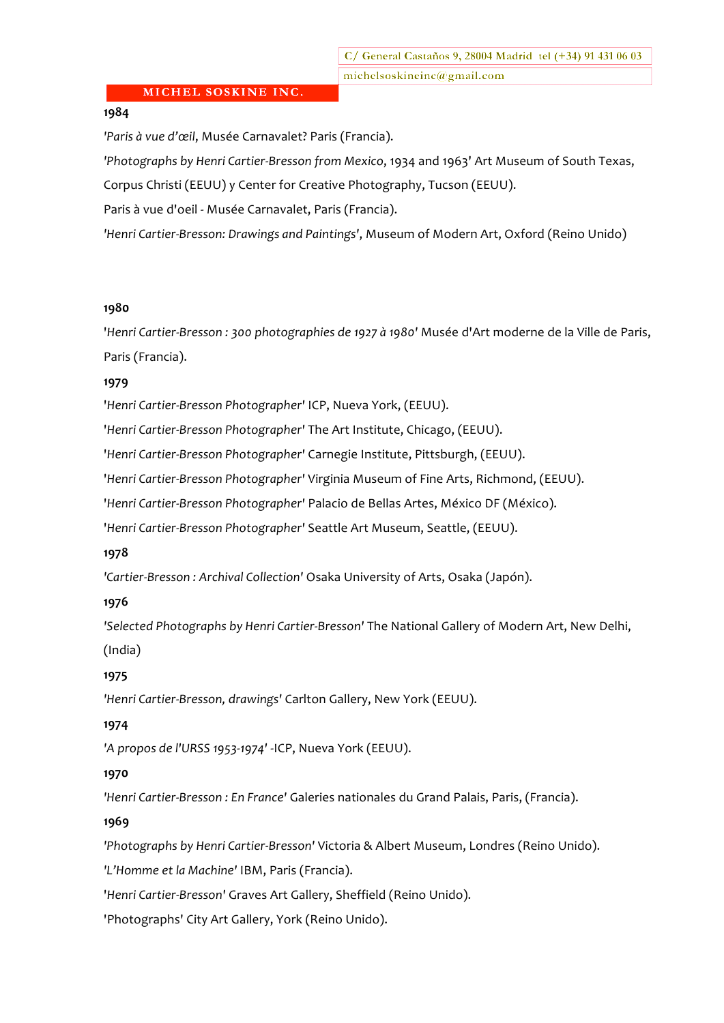# **1984**

'Paris à vue d'œil, Musée Carnavalet? Paris (Francia).

'Photographs by Henri Cartier-Bresson from Mexico, 1934 and 1963' Art Museum of South Texas,

Corpus Christi (EEUU) y Center for Creative Photography, Tucson (EEUU).

Paris à vue d'oeil - Musée Carnavalet, Paris (Francia).

'Henri Cartier-Bresson: Drawings and Paintings', Museum of Modern Art, Oxford (Reino Unido)

### **1980&**

'*Henri Cartier-Bresson: 300 photographies de 1927 à 1980' Musée d'Art moderne de la Ville de Paris*, Paris (Francia).

### **1979**

'Henri Cartier-Bresson Photographer' ICP, Nueva York, (EEUU).

'Henri Cartier-Bresson Photographer' The Art Institute, Chicago, (EEUU).

'Henri Cartier-Bresson Photographer' Carnegie Institute, Pittsburgh, (EEUU).

'*Henri Cartier-Bresson Photographer'* Virginia Museum of Fine Arts, Richmond, (EEUU).

'*Henri Cartier-Bresson Photographer' Palacio de Bellas Artes, México DF (México).* 

'Henri Cartier-Bresson Photographer' Seattle Art Museum, Seattle, (EEUU).

#### **1978&**

'Cartier-Bresson: Archival Collection' Osaka University of Arts, Osaka (Japón).

## **1976&**

'Selected Photographs by Henri Cartier-Bresson' The National Gallery of Modern Art, New Delhi, (India)

## **1975**

'Henri Cartier-Bresson, drawings' Carlton Gallery, New York (EEUU).

## **1974&**

'A propos de l'URSS 1953-1974' -ICP, Nueva York (EEUU).

## **1970&**

'Henri Cartier-Bresson : En France' Galeries nationales du Grand Palais, Paris, (Francia).

## **1969&**

'Photographs by Henri Cartier-Bresson' Victoria & Albert Museum, Londres (Reino Unido).

'L'Homme et la Machine' IBM, Paris (Francia).

'Henri Cartier-Bresson' Graves Art Gallery, Sheffield (Reino Unido).

'Photographs' City Art Gallery, York (Reino Unido).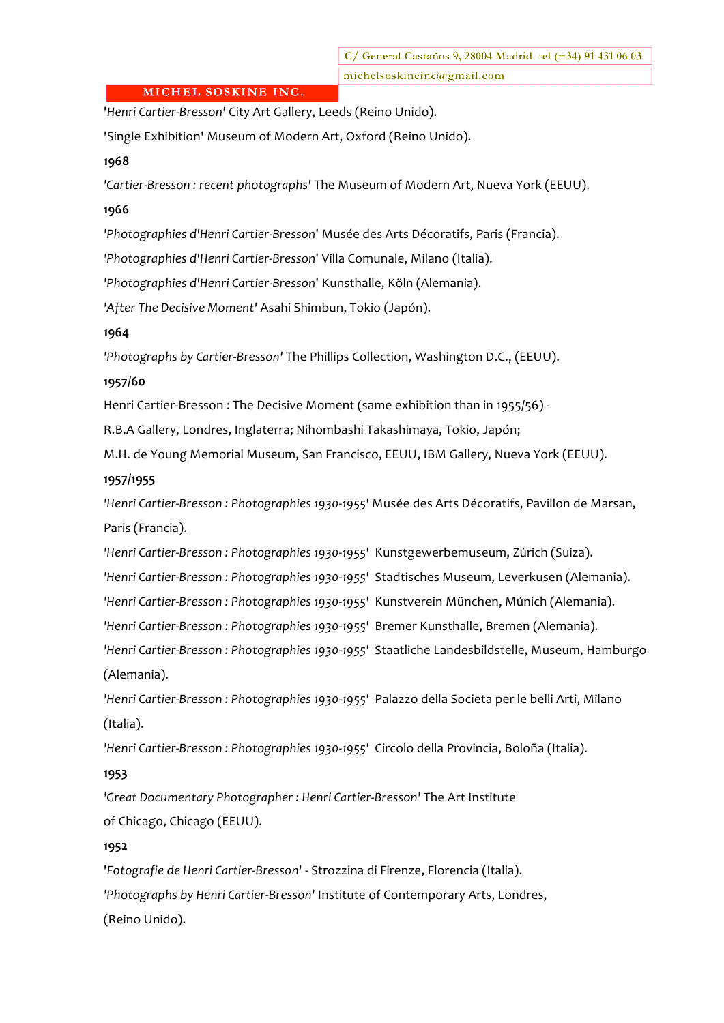C/ General Castaños 9, 28004 Madrid tel (+34) 91 431 06 03 michelsoskineinc@gmail.com

## MICHEL SOSKINE INC.

'*Henri Cartier-Bresson'* City Art Gallery, Leeds (Reino Unido).

'Single Exhibition' Museum of Modern Art, Oxford (Reino Unido).

#### **1968&**

'Cartier-Bresson: recent photographs' The Museum of Modern Art, Nueva York (EEUU).

## **1966&**

'Photographies d'Henri Cartier-Bresson' Musée des Arts Décoratifs, Paris (Francia).

'Photographies d'Henri Cartier-Bresson' Villa Comunale, Milano (Italia).

'Photographies d'Henri Cartier-Bresson' Kunsthalle, Köln (Alemania).

'After The Decisive Moment' Asahi Shimbun, Tokio (Japón).

### **1964&**

'Photographs by Cartier-Bresson' The Phillips Collection, Washington D.C., (EEUU).

### **1957/60&**

Henri Cartier-Bresson : The Decisive Moment (same exhibition than in 1955/56) -

R.B.A Gallery, Londres, Inglaterra; Nihombashi Takashimaya, Tokio, Japón;

M.H. de Young Memorial Museum, San Francisco, EEUU, IBM Gallery, Nueva York (EEUU).

### **1957/1955**

'Henri Cartier-Bresson : Photographies 1930-1955' Musée des Arts Décoratifs, Pavillon de Marsan, Paris (Francia).

'Henri Cartier-Bresson : Photographies 1930-1955' Kunstgewerbemuseum, Zúrich (Suiza).

'Henri Cartier-Bresson: Photographies 1930-1955' Stadtisches Museum, Leverkusen (Alemania).

'Henri Cartier-Bresson : Photographies 1930-1955' Kunstverein München, Múnich (Alemania).

'Henri Cartier-Bresson: Photographies 1930-1955' Bremer Kunsthalle, Bremen (Alemania).

'Henri Cartier-Bresson: Photographies 1930-1955' Staatliche Landesbildstelle, Museum, Hamburgo (Alemania).

'Henri Cartier-Bresson : Photographies 1930-1955' Palazzo della Societa per le belli Arti, Milano (Italia).

'Henri Cartier-Bresson : Photographies 1930-1955' Circolo della Provincia, Boloña (Italia).

## **1953&**

'Great Documentary Photographer: Henri Cartier-Bresson' The Art Institute of Chicago, Chicago (EEUU).

# **1952&**

'Fotografie de Henri Cartier-Bresson' - Strozzina di Firenze, Florencia (Italia). 'Photographs by Henri Cartier-Bresson' Institute of Contemporary Arts, Londres, (Reino Unido).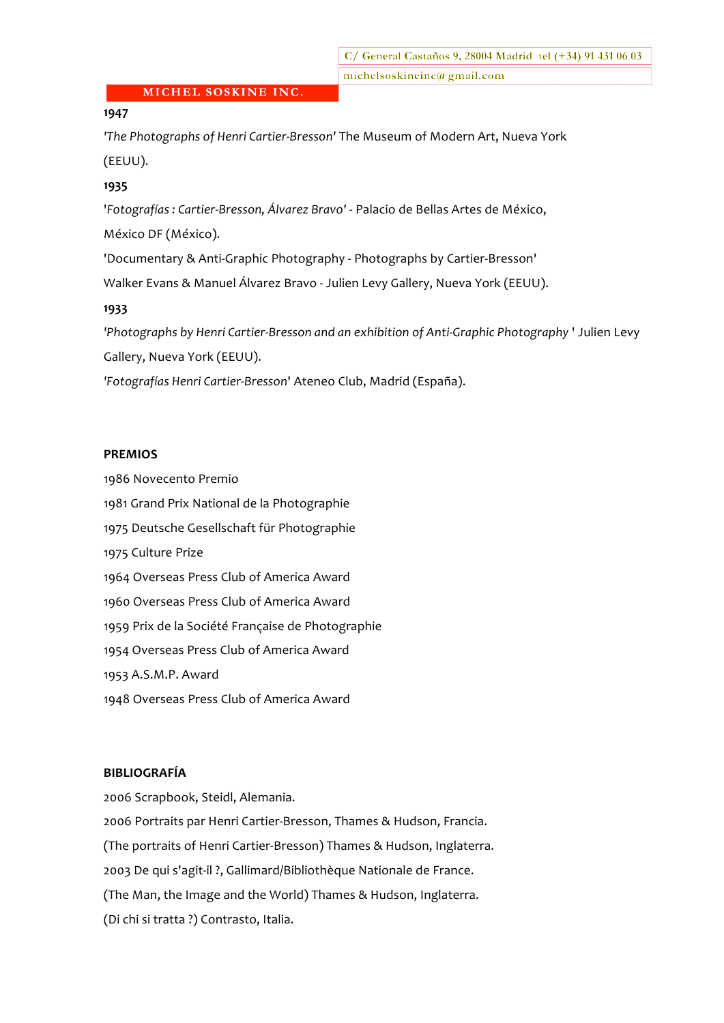# **1947&**

'The Photographs of Henri Cartier-Bresson' The Museum of Modern Art, Nueva York (EEUU).

### **1935&**

'Fotografías : Cartier-Bresson, Álvarez Bravo' - Palacio de Bellas Artes de México,

México DF (México).

'Documentary & Anti-Graphic Photography - Photographs by Cartier-Bresson'

Walker Evans & Manuel Álvarez Bravo - Julien Levy Gallery, Nueva York (EEUU).

### **1933&**

'Photographs by Henri Cartier-Bresson and an exhibition of Anti-Graphic Photography ' Julien Levy Gallery, Nueva York (EEUU).

'Fotografías Henri Cartier-Bresson' Ateneo Club, Madrid (España).

#### **PREMIOS**

1986 Novecento Premio 1981 Grand Prix National de la Photographie 1975 Deutsche Gesellschaft für Photographie 1975 Culture Prize 1964 Overseas Press Club of America Award 1960 Overseas Press Club of America Award 1959 Prix de la Société Française de Photographie 1954 Overseas Press Club of America Award 1953 A.S.M.P. Award 1948 Overseas Press Club of America Award

# **BIBLIOGRAFÍA**

2006 Scrapbook, Steidl, Alemania. 2006 Portraits par Henri Cartier-Bresson, Thames & Hudson, Francia. (The portraits of Henri Cartier-Bresson) Thames & Hudson, Inglaterra. 2003 De qui s'agit-il ?, Gallimard/Bibliothèque Nationale de France. (The Man, the Image and the World) Thames & Hudson, Inglaterra. (Di chi si tratta ?) Contrasto, Italia.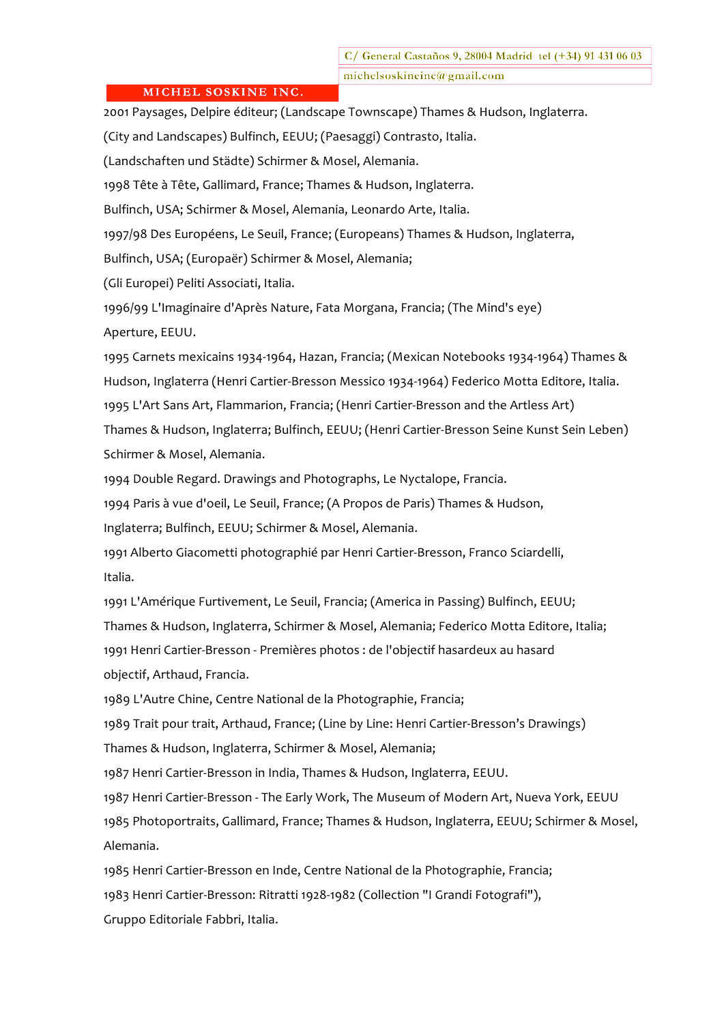C/ General Castaños 9, 28004 Madrid tel (+34) 91 431 06 03 michelsoskineinc@gmail.com

## MICHEL SOSKINE INC.

2001 Paysages, Delpire éditeur; (Landscape Townscape) Thames & Hudson, Inglaterra.

(City and Landscapes) Bulfinch, EEUU; (Paesaggi) Contrasto, Italia.

(Landschaften und Städte) Schirmer & Mosel, Alemania.

1998 Tête à Tête, Gallimard, France; Thames & Hudson, Inglaterra.

Bulfinch, USA; Schirmer & Mosel, Alemania, Leonardo Arte, Italia.

1997/98 Des Européens, Le Seuil, France; (Europeans) Thames & Hudson, Inglaterra,

Bulfinch, USA; (Europaër) Schirmer & Mosel, Alemania;

(Gli Europei) Peliti Associati, Italia.

1996/99 L'Imaginaire d'Après Nature, Fata Morgana, Francia; (The Mind's eye) Aperture, EEUU.

1995 Carnets mexicains 1934-1964, Hazan, Francia; (Mexican Notebooks 1934-1964) Thames & Hudson, Inglaterra (Henri Cartier-Bresson Messico 1934-1964) Federico Motta Editore, Italia. 1995 L'Art Sans Art, Flammarion, Francia; (Henri Cartier-Bresson and the Artless Art) Thames & Hudson, Inglaterra; Bulfinch, EEUU; (Henri Cartier-Bresson Seine Kunst Sein Leben) Schirmer & Mosel, Alemania.

1994 Double Regard. Drawings and Photographs, Le Nyctalope, Francia.

1994 Paris à vue d'oeil, Le Seuil, France; (A Propos de Paris) Thames & Hudson,

Inglaterra; Bulfinch, EEUU; Schirmer & Mosel, Alemania.

1991 Alberto Giacometti photographié par Henri Cartier-Bresson, Franco Sciardelli, Italia.

1991 L'Amérique Furtivement, Le Seuil, Francia; (America in Passing) Bulfinch, EEUU; Thames & Hudson, Inglaterra, Schirmer & Mosel, Alemania; Federico Motta Editore, Italia; 1991 Henri Cartier-Bresson - Premières photos : de l'objectif hasardeux au hasard objectif, Arthaud, Francia.

1989 L'Autre Chine, Centre National de la Photographie, Francia;

1989 Trait pour trait, Arthaud, France; (Line by Line: Henri Cartier-Bresson's Drawings)

Thames & Hudson, Inglaterra, Schirmer & Mosel, Alemania;

1987 Henri Cartier-Bresson in India, Thames & Hudson, Inglaterra, EEUU.

1987 Henri Cartier-Bresson - The Early Work, The Museum of Modern Art, Nueva York, EEUU 1985 Photoportraits, Gallimard, France; Thames & Hudson, Inglaterra, EEUU; Schirmer & Mosel, Alemania.

1985 Henri Cartier-Bresson en Inde, Centre National de la Photographie, Francia; 1983 Henri Cartier-Bresson: Ritratti 1928-1982 (Collection "I Grandi Fotografi"), Gruppo Editoriale Fabbri, Italia.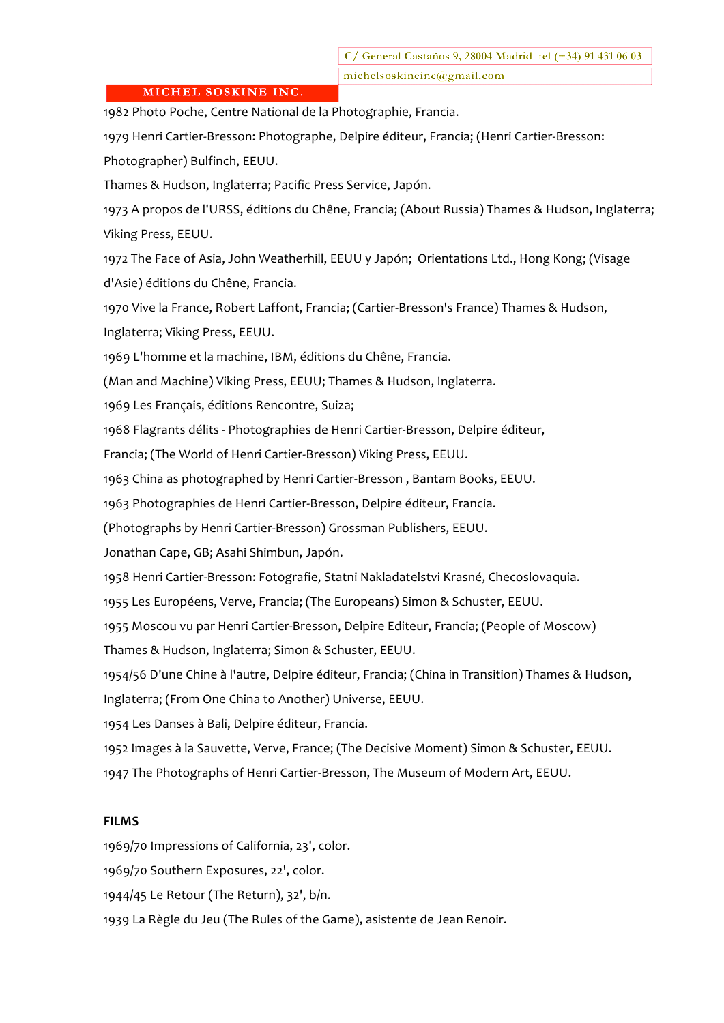1982 Photo Poche, Centre National de la Photographie, Francia.

1979 Henri Cartier-Bresson: Photographe, Delpire éditeur, Francia; (Henri Cartier-Bresson: Photographer) Bulfinch, EEUU.

Thames & Hudson, Inglaterra; Pacific Press Service, Japón.

1973 A propos de l'URSS, éditions du Chêne, Francia; (About Russia) Thames & Hudson, Inglaterra; Viking Press, EEUU.

1972 The Face of Asia, John Weatherhill, EEUU y Japón; Orientations Ltd., Hong Kong; (Visage d'Asie) éditions du Chêne, Francia.

1970 Vive la France, Robert Laffont, Francia; (Cartier-Bresson's France) Thames & Hudson, Inglaterra; Viking Press, EEUU.

1969 L'homme et la machine, IBM, éditions du Chêne, Francia.

(Man and Machine) Viking Press, EEUU; Thames & Hudson, Inglaterra.

1969 Les Français, éditions Rencontre, Suiza;

1968 Flagrants délits - Photographies de Henri Cartier-Bresson, Delpire éditeur,

Francia; (The World of Henri Cartier-Bresson) Viking Press, EEUU.

1963 China as photographed by Henri Cartier-Bresson, Bantam Books, EEUU.

1963 Photographies de Henri Cartier-Bresson, Delpire éditeur, Francia.

(Photographs by Henri Cartier-Bresson) Grossman Publishers, EEUU.

Jonathan Cape, GB; Asahi Shimbun, Japón.

1958 Henri Cartier-Bresson: Fotografie, Statni Nakladatelstvi Krasné, Checoslovaquia.

1955 Les Européens, Verve, Francia; (The Europeans) Simon & Schuster, EEUU.

1955 Moscou vu par Henri Cartier-Bresson, Delpire Editeur, Francia; (People of Moscow)

Thames & Hudson, Inglaterra; Simon & Schuster, EEUU.

1954/56 D'une Chine à l'autre, Delpire éditeur, Francia; (China in Transition) Thames & Hudson,

Inglaterra; (From One China to Another) Universe, EEUU.

1954 Les Danses à Bali, Delpire éditeur, Francia.

1952 Images à la Sauvette, Verve, France; (The Decisive Moment) Simon & Schuster, EEUU.

1947 The Photographs of Henri Cartier-Bresson, The Museum of Modern Art, EEUU.

## **FILMS**

1969/70 Impressions of California, 23', color.

1969/70 Southern Exposures, 22', color.

1944/45 Le Retour (The Return), 32', b/n.

1939 La Règle du Jeu (The Rules of the Game), asistente de Jean Renoir.